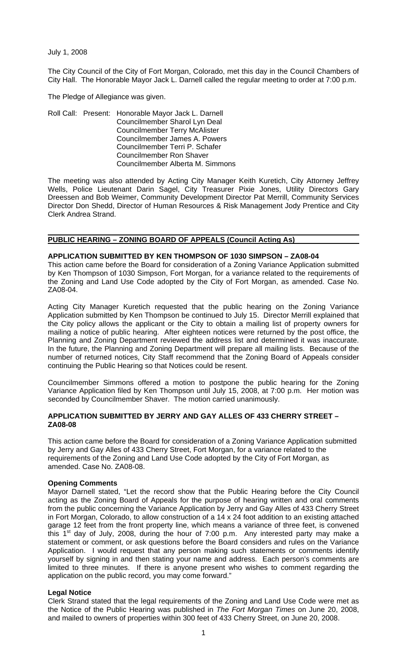July 1, 2008

The City Council of the City of Fort Morgan, Colorado, met this day in the Council Chambers of City Hall. The Honorable Mayor Jack L. Darnell called the regular meeting to order at 7:00 p.m.

The Pledge of Allegiance was given.

Roll Call: Present: Honorable Mayor Jack L. Darnell Councilmember Sharol Lyn Deal Councilmember Terry McAlister Councilmember James A. Powers Councilmember Terri P. Schafer Councilmember Ron Shaver Councilmember Alberta M. Simmons

The meeting was also attended by Acting City Manager Keith Kuretich, City Attorney Jeffrey Wells, Police Lieutenant Darin Sagel, City Treasurer Pixie Jones, Utility Directors Gary Dreessen and Bob Weimer, Community Development Director Pat Merrill, Community Services Director Don Shedd, Director of Human Resources & Risk Management Jody Prentice and City Clerk Andrea Strand.

#### **PUBLIC HEARING – ZONING BOARD OF APPEALS (Council Acting As)**

## **APPLICATION SUBMITTED BY KEN THOMPSON OF 1030 SIMPSON – ZA08-04**

This action came before the Board for consideration of a Zoning Variance Application submitted by Ken Thompson of 1030 Simpson, Fort Morgan, for a variance related to the requirements of the Zoning and Land Use Code adopted by the City of Fort Morgan, as amended. Case No. ZA08-04.

Acting City Manager Kuretich requested that the public hearing on the Zoning Variance Application submitted by Ken Thompson be continued to July 15. Director Merrill explained that the City policy allows the applicant or the City to obtain a mailing list of property owners for mailing a notice of public hearing. After eighteen notices were returned by the post office, the Planning and Zoning Department reviewed the address list and determined it was inaccurate. In the future, the Planning and Zoning Department will prepare all mailing lists. Because of the number of returned notices, City Staff recommend that the Zoning Board of Appeals consider continuing the Public Hearing so that Notices could be resent.

Councilmember Simmons offered a motion to postpone the public hearing for the Zoning Variance Application filed by Ken Thompson until July 15, 2008, at 7:00 p.m. Her motion was seconded by Councilmember Shaver. The motion carried unanimously.

## **APPLICATION SUBMITTED BY JERRY AND GAY ALLES OF 433 CHERRY STREET – ZA08-08**

This action came before the Board for consideration of a Zoning Variance Application submitted by Jerry and Gay Alles of 433 Cherry Street, Fort Morgan, for a variance related to the requirements of the Zoning and Land Use Code adopted by the City of Fort Morgan, as amended. Case No. ZA08-08.

#### **Opening Comments**

Mayor Darnell stated, "Let the record show that the Public Hearing before the City Council acting as the Zoning Board of Appeals for the purpose of hearing written and oral comments from the public concerning the Variance Application by Jerry and Gay Alles of 433 Cherry Street in Fort Morgan, Colorado, to allow construction of a 14 x 24 foot addition to an existing attached garage 12 feet from the front property line, which means a variance of three feet, is convened this 1<sup>st</sup> day of July, 2008, during the hour of 7:00 p.m. Any interested party may make a statement or comment, or ask questions before the Board considers and rules on the Variance Application. I would request that any person making such statements or comments identify yourself by signing in and then stating your name and address. Each person's comments are limited to three minutes. If there is anyone present who wishes to comment regarding the application on the public record, you may come forward."

#### **Legal Notice**

Clerk Strand stated that the legal requirements of the Zoning and Land Use Code were met as the Notice of the Public Hearing was published in *The Fort Morgan Times* on June 20, 2008, and mailed to owners of properties within 300 feet of 433 Cherry Street, on June 20, 2008.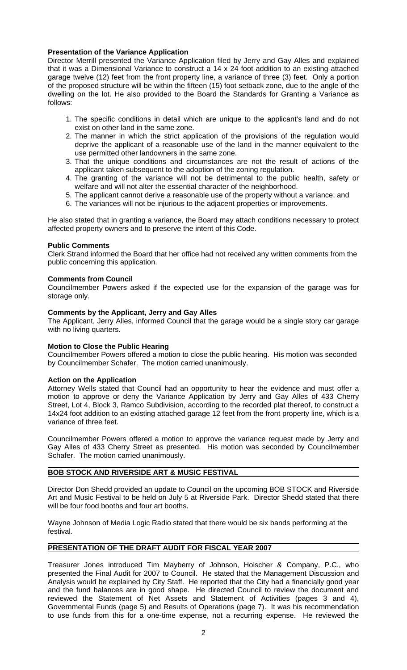## **Presentation of the Variance Application**

Director Merrill presented the Variance Application filed by Jerry and Gay Alles and explained that it was a Dimensional Variance to construct a 14 x 24 foot addition to an existing attached garage twelve (12) feet from the front property line, a variance of three (3) feet. Only a portion of the proposed structure will be within the fifteen (15) foot setback zone, due to the angle of the dwelling on the lot. He also provided to the Board the Standards for Granting a Variance as follows:

- 1. The specific conditions in detail which are unique to the applicant's land and do not exist on other land in the same zone.
- 2. The manner in which the strict application of the provisions of the regulation would deprive the applicant of a reasonable use of the land in the manner equivalent to the use permitted other landowners in the same zone.
- 3. That the unique conditions and circumstances are not the result of actions of the applicant taken subsequent to the adoption of the zoning regulation.
- 4. The granting of the variance will not be detrimental to the public health, safety or welfare and will not alter the essential character of the neighborhood.
- 5. The applicant cannot derive a reasonable use of the property without a variance; and
- 6. The variances will not be injurious to the adjacent properties or improvements.

He also stated that in granting a variance, the Board may attach conditions necessary to protect affected property owners and to preserve the intent of this Code.

#### **Public Comments**

Clerk Strand informed the Board that her office had not received any written comments from the public concerning this application.

#### **Comments from Council**

Councilmember Powers asked if the expected use for the expansion of the garage was for storage only.

## **Comments by the Applicant, Jerry and Gay Alles**

The Applicant, Jerry Alles, informed Council that the garage would be a single story car garage with no living quarters.

#### **Motion to Close the Public Hearing**

Councilmember Powers offered a motion to close the public hearing. His motion was seconded by Councilmember Schafer. The motion carried unanimously.

#### **Action on the Application**

Attorney Wells stated that Council had an opportunity to hear the evidence and must offer a motion to approve or deny the Variance Application by Jerry and Gay Alles of 433 Cherry Street, Lot 4, Block 3, Ramco Subdivision, according to the recorded plat thereof, to construct a 14x24 foot addition to an existing attached garage 12 feet from the front property line, which is a variance of three feet.

Councilmember Powers offered a motion to approve the variance request made by Jerry and Gay Alles of 433 Cherry Street as presented. His motion was seconded by Councilmember Schafer. The motion carried unanimously.

#### **BOB STOCK AND RIVERSIDE ART & MUSIC FESTIVAL**

Director Don Shedd provided an update to Council on the upcoming BOB STOCK and Riverside Art and Music Festival to be held on July 5 at Riverside Park. Director Shedd stated that there will be four food booths and four art booths.

Wayne Johnson of Media Logic Radio stated that there would be six bands performing at the festival.

# **PRESENTATION OF THE DRAFT AUDIT FOR FISCAL YEAR 2007**

Treasurer Jones introduced Tim Mayberry of Johnson, Holscher & Company, P.C., who presented the Final Audit for 2007 to Council. He stated that the Management Discussion and Analysis would be explained by City Staff. He reported that the City had a financially good year and the fund balances are in good shape. He directed Council to review the document and reviewed the Statement of Net Assets and Statement of Activities (pages 3 and 4), Governmental Funds (page 5) and Results of Operations (page 7). It was his recommendation to use funds from this for a one-time expense, not a recurring expense. He reviewed the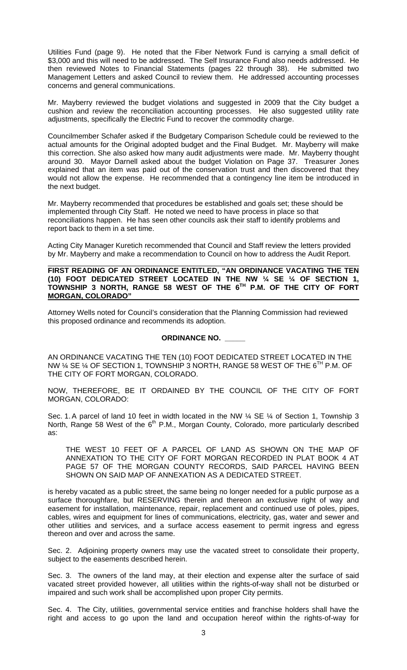Utilities Fund (page 9). He noted that the Fiber Network Fund is carrying a small deficit of \$3,000 and this will need to be addressed. The Self Insurance Fund also needs addressed. He then reviewed Notes to Financial Statements (pages 22 through 38). He submitted two Management Letters and asked Council to review them. He addressed accounting processes concerns and general communications.

Mr. Mayberry reviewed the budget violations and suggested in 2009 that the City budget a cushion and review the reconciliation accounting processes. He also suggested utility rate adjustments, specifically the Electric Fund to recover the commodity charge.

Councilmember Schafer asked if the Budgetary Comparison Schedule could be reviewed to the actual amounts for the Original adopted budget and the Final Budget. Mr. Mayberry will make this correction. She also asked how many audit adjustments were made. Mr. Mayberry thought around 30. Mayor Darnell asked about the budget Violation on Page 37. Treasurer Jones explained that an item was paid out of the conservation trust and then discovered that they would not allow the expense. He recommended that a contingency line item be introduced in the next budget.

Mr. Mayberry recommended that procedures be established and goals set; these should be implemented through City Staff. He noted we need to have process in place so that reconciliations happen. He has seen other councils ask their staff to identify problems and report back to them in a set time.

Acting City Manager Kuretich recommended that Council and Staff review the letters provided by Mr. Mayberry and make a recommendation to Council on how to address the Audit Report.

**FIRST READING OF AN ORDINANCE ENTITLED, "AN ORDINANCE VACATING THE TEN (10) FOOT DEDICATED STREET LOCATED IN THE NW ¼ SE ¼ OF SECTION 1, TOWNSHIP 3 NORTH, RANGE 58 WEST OF THE 6TH P.M. OF THE CITY OF FORT MORGAN, COLORADO"** 

Attorney Wells noted for Council's consideration that the Planning Commission had reviewed this proposed ordinance and recommends its adoption.

# **ORDINANCE NO. \_\_\_\_\_**

AN ORDINANCE VACATING THE TEN (10) FOOT DEDICATED STREET LOCATED IN THE NW ¼ SE ¼ OF SECTION 1, TOWNSHIP 3 NORTH, RANGE 58 WEST OF THE 6TH P.M. OF THE CITY OF FORT MORGAN, COLORADO.

NOW, THEREFORE, BE IT ORDAINED BY THE COUNCIL OF THE CITY OF FORT MORGAN, COLORADO:

Sec. 1. A parcel of land 10 feet in width located in the NW  $\frac{1}{4}$  SE  $\frac{1}{4}$  of Section 1, Township 3 North, Range 58 West of the 6<sup>th</sup> P.M., Morgan County, Colorado, more particularly described as:

THE WEST 10 FEET OF A PARCEL OF LAND AS SHOWN ON THE MAP OF ANNEXATION TO THE CITY OF FORT MORGAN RECORDED IN PLAT BOOK 4 AT PAGE 57 OF THE MORGAN COUNTY RECORDS, SAID PARCEL HAVING BEEN SHOWN ON SAID MAP OF ANNEXATION AS A DEDICATED STREET.

is hereby vacated as a public street, the same being no longer needed for a public purpose as a surface thoroughfare, but RESERVING therein and thereon an exclusive right of way and easement for installation, maintenance, repair, replacement and continued use of poles, pipes, cables, wires and equipment for lines of communications, electricity, gas, water and sewer and other utilities and services, and a surface access easement to permit ingress and egress thereon and over and across the same.

Sec. 2. Adjoining property owners may use the vacated street to consolidate their property, subject to the easements described herein.

Sec. 3. The owners of the land may, at their election and expense alter the surface of said vacated street provided however, all utilities within the rights-of-way shall not be disturbed or impaired and such work shall be accomplished upon proper City permits.

Sec. 4. The City, utilities, governmental service entities and franchise holders shall have the right and access to go upon the land and occupation hereof within the rights-of-way for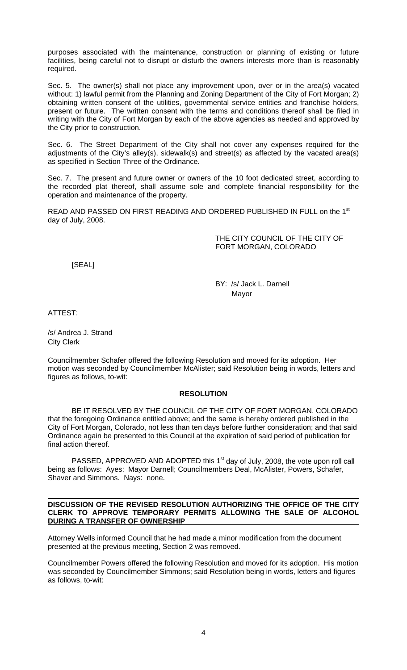purposes associated with the maintenance, construction or planning of existing or future facilities, being careful not to disrupt or disturb the owners interests more than is reasonably required.

Sec. 5. The owner(s) shall not place any improvement upon, over or in the area(s) vacated without: 1) lawful permit from the Planning and Zoning Department of the City of Fort Morgan; 2) obtaining written consent of the utilities, governmental service entities and franchise holders, present or future. The written consent with the terms and conditions thereof shall be filed in writing with the City of Fort Morgan by each of the above agencies as needed and approved by the City prior to construction.

Sec. 6. The Street Department of the City shall not cover any expenses required for the adjustments of the City's alley(s), sidewalk(s) and street(s) as affected by the vacated area(s) as specified in Section Three of the Ordinance.

Sec. 7. The present and future owner or owners of the 10 foot dedicated street, according to the recorded plat thereof, shall assume sole and complete financial responsibility for the operation and maintenance of the property.

READ AND PASSED ON FIRST READING AND ORDERED PUBLISHED IN FULL on the 1st day of July, 2008.

> THE CITY COUNCIL OF THE CITY OF FORT MORGAN, COLORADO

[SEAL]

 BY: /s/ Jack L. Darnell Mayor

ATTEST:

/s/ Andrea J. Strand City Clerk

Councilmember Schafer offered the following Resolution and moved for its adoption. Her motion was seconded by Councilmember McAlister; said Resolution being in words, letters and figures as follows, to-wit:

# **RESOLUTION**

 BE IT RESOLVED BY THE COUNCIL OF THE CITY OF FORT MORGAN, COLORADO that the foregoing Ordinance entitled above; and the same is hereby ordered published in the City of Fort Morgan, Colorado, not less than ten days before further consideration; and that said Ordinance again be presented to this Council at the expiration of said period of publication for final action thereof.

PASSED, APPROVED AND ADOPTED this 1<sup>st</sup> day of July, 2008, the vote upon roll call being as follows: Ayes: Mayor Darnell; Councilmembers Deal, McAlister, Powers, Schafer, Shaver and Simmons. Nays: none.

#### **DISCUSSION OF THE REVISED RESOLUTION AUTHORIZING THE OFFICE OF THE CITY CLERK TO APPROVE TEMPORARY PERMITS ALLOWING THE SALE OF ALCOHOL DURING A TRANSFER OF OWNERSHIP**

Attorney Wells informed Council that he had made a minor modification from the document presented at the previous meeting, Section 2 was removed.

Councilmember Powers offered the following Resolution and moved for its adoption. His motion was seconded by Councilmember Simmons; said Resolution being in words, letters and figures as follows, to-wit: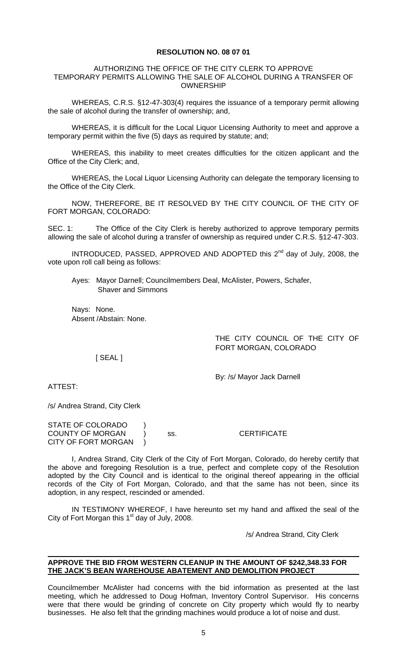#### **RESOLUTION NO. 08 07 01**

#### AUTHORIZING THE OFFICE OF THE CITY CLERK TO APPROVE TEMPORARY PERMITS ALLOWING THE SALE OF ALCOHOL DURING A TRANSFER OF OWNERSHIP

WHEREAS, C.R.S. §12-47-303(4) requires the issuance of a temporary permit allowing the sale of alcohol during the transfer of ownership; and,

WHEREAS, it is difficult for the Local Liquor Licensing Authority to meet and approve a temporary permit within the five (5) days as required by statute; and;

WHEREAS, this inability to meet creates difficulties for the citizen applicant and the Office of the City Clerk; and,

WHEREAS, the Local Liquor Licensing Authority can delegate the temporary licensing to the Office of the City Clerk.

NOW, THEREFORE, BE IT RESOLVED BY THE CITY COUNCIL OF THE CITY OF FORT MORGAN, COLORADO:

SEC. 1: The Office of the City Clerk is hereby authorized to approve temporary permits allowing the sale of alcohol during a transfer of ownership as required under C.R.S. §12-47-303.

INTRODUCED, PASSED, APPROVED AND ADOPTED this 2<sup>nd</sup> day of July, 2008, the vote upon roll call being as follows:

Ayes: Mayor Darnell; Councilmembers Deal, McAlister, Powers, Schafer, Shaver and Simmons

Nays: None. Absent /Abstain: None.

> THE CITY COUNCIL OF THE CITY OF FORT MORGAN, COLORADO

[ SEAL ]

By: /s/ Mayor Jack Darnell

ATTEST:

/s/ Andrea Strand, City Clerk

STATE OF COLORADO ) COUNTY OF MORGAN ) ss. CERTIFICATE CITY OF FORT MORGAN )

 I, Andrea Strand, City Clerk of the City of Fort Morgan, Colorado, do hereby certify that the above and foregoing Resolution is a true, perfect and complete copy of the Resolution adopted by the City Council and is identical to the original thereof appearing in the official records of the City of Fort Morgan, Colorado, and that the same has not been, since its adoption, in any respect, rescinded or amended.

 IN TESTIMONY WHEREOF, I have hereunto set my hand and affixed the seal of the City of Fort Morgan this  $1<sup>st</sup>$  day of July, 2008.

/s/ Andrea Strand, City Clerk

## **APPROVE THE BID FROM WESTERN CLEANUP IN THE AMOUNT OF \$242,348.33 FOR THE JACK'S BEAN WAREHOUSE ABATEMENT AND DEMOLITION PROJECT**

Councilmember McAlister had concerns with the bid information as presented at the last meeting, which he addressed to Doug Hofman, Inventory Control Supervisor. His concerns were that there would be grinding of concrete on City property which would fly to nearby businesses. He also felt that the grinding machines would produce a lot of noise and dust.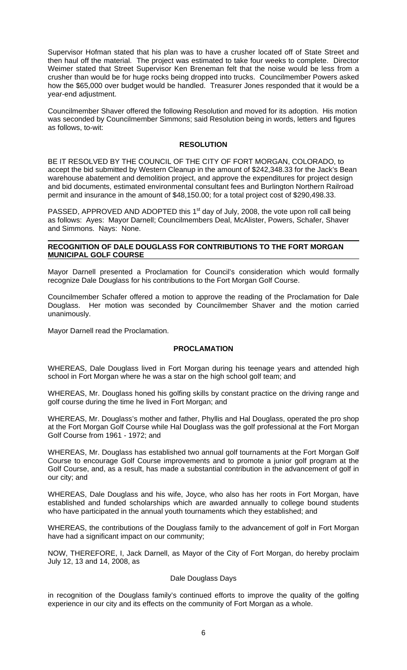Supervisor Hofman stated that his plan was to have a crusher located off of State Street and then haul off the material. The project was estimated to take four weeks to complete. Director Weimer stated that Street Supervisor Ken Breneman felt that the noise would be less from a crusher than would be for huge rocks being dropped into trucks. Councilmember Powers asked how the \$65,000 over budget would be handled. Treasurer Jones responded that it would be a year-end adjustment.

Councilmember Shaver offered the following Resolution and moved for its adoption. His motion was seconded by Councilmember Simmons; said Resolution being in words, letters and figures as follows, to-wit:

## **RESOLUTION**

BE IT RESOLVED BY THE COUNCIL OF THE CITY OF FORT MORGAN, COLORADO, to accept the bid submitted by Western Cleanup in the amount of \$242,348.33 for the Jack's Bean warehouse abatement and demolition project, and approve the expenditures for project design and bid documents, estimated environmental consultant fees and Burlington Northern Railroad permit and insurance in the amount of \$48,150.00; for a total project cost of \$290,498.33.

PASSED, APPROVED AND ADOPTED this 1<sup>st</sup> day of July, 2008, the vote upon roll call being as follows: Ayes: Mayor Darnell; Councilmembers Deal, McAlister, Powers, Schafer, Shaver and Simmons. Nays: None.

## **RECOGNITION OF DALE DOUGLASS FOR CONTRIBUTIONS TO THE FORT MORGAN MUNICIPAL GOLF COURSE**

Mayor Darnell presented a Proclamation for Council's consideration which would formally recognize Dale Douglass for his contributions to the Fort Morgan Golf Course.

Councilmember Schafer offered a motion to approve the reading of the Proclamation for Dale Douglass. Her motion was seconded by Councilmember Shaver and the motion carried unanimously.

Mayor Darnell read the Proclamation.

# **PROCLAMATION**

WHEREAS, Dale Douglass lived in Fort Morgan during his teenage years and attended high school in Fort Morgan where he was a star on the high school golf team; and

WHEREAS, Mr. Douglass honed his golfing skills by constant practice on the driving range and golf course during the time he lived in Fort Morgan; and

WHEREAS, Mr. Douglass's mother and father, Phyllis and Hal Douglass, operated the pro shop at the Fort Morgan Golf Course while Hal Douglass was the golf professional at the Fort Morgan Golf Course from 1961 - 1972; and

WHEREAS, Mr. Douglass has established two annual golf tournaments at the Fort Morgan Golf Course to encourage Golf Course improvements and to promote a junior golf program at the Golf Course, and, as a result, has made a substantial contribution in the advancement of golf in our city; and

WHEREAS, Dale Douglass and his wife, Joyce, who also has her roots in Fort Morgan, have established and funded scholarships which are awarded annually to college bound students who have participated in the annual youth tournaments which they established; and

WHEREAS, the contributions of the Douglass family to the advancement of golf in Fort Morgan have had a significant impact on our community;

NOW, THEREFORE, I, Jack Darnell, as Mayor of the City of Fort Morgan, do hereby proclaim July 12, 13 and 14, 2008, as

# Dale Douglass Days

in recognition of the Douglass family's continued efforts to improve the quality of the golfing experience in our city and its effects on the community of Fort Morgan as a whole.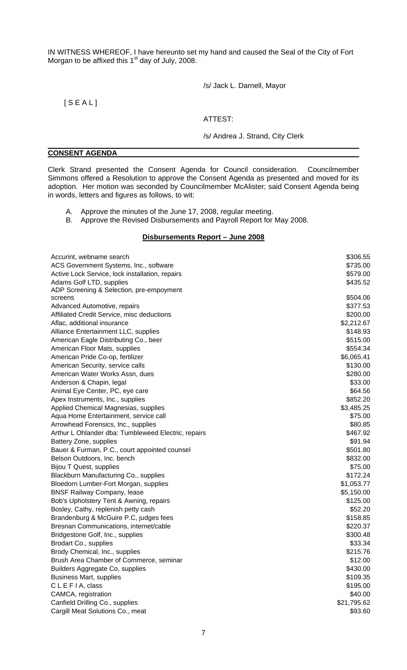IN WITNESS WHEREOF, I have hereunto set my hand and caused the Seal of the City of Fort Morgan to be affixed this  $1<sup>st</sup>$  day of July, 2008.

/s/ Jack L. Darnell, Mayor

# $[$  S E A L  $]$

# ATTEST:

#### /s/ Andrea J. Strand, City Clerk

#### **CONSENT AGENDA**

Clerk Strand presented the Consent Agenda for Council consideration. Councilmember Simmons offered a Resolution to approve the Consent Agenda as presented and moved for its adoption. Her motion was seconded by Councilmember McAlister; said Consent Agenda being in words, letters and figures as follows, to wit:

- A. Approve the minutes of the June 17, 2008, regular meeting.
- B. Approve the Revised Disbursements and Payroll Report for May 2008.

## **Disbursements Report – June 2008**

| Accurint, webname search                            | \$306.55    |
|-----------------------------------------------------|-------------|
| ACS Government Systems, Inc., software              | \$735.00    |
| Active Lock Service, lock installation, repairs     | \$579.00    |
| Adams Golf LTD, supplies                            | \$435.52    |
| ADP Screening & Selection, pre-empoyment            |             |
| screens                                             | \$504.06    |
| Advanced Automotive, repairs                        | \$377.53    |
| Affiliated Credit Service, misc deductions          | \$200.00    |
| Aflac, additional insurance                         | \$2,212.67  |
| Alliance Entertainment LLC, supplies                | \$148.93    |
| American Eagle Distributing Co., beer               | \$515.00    |
| American Floor Mats, supplies                       | \$554.34    |
| American Pride Co-op, fertilizer                    | \$6,065.41  |
| American Security, service calls                    | \$130.00    |
| American Water Works Assn, dues                     | \$280.00    |
| Anderson & Chapin, legal                            | \$33.00     |
| Animal Eye Center, PC, eye care                     | \$64.56     |
| Apex Instruments, Inc., supplies                    | \$852.20    |
| Applied Chemical Magnesias, supplies                | \$3,485.25  |
| Aqua Home Entertainment, service call               | \$75.00     |
| Arrowhead Forensics, Inc., supplies                 | \$80.85     |
| Arthur L Ohlander dba: Tumbleweed Electric, repairs | \$467.92    |
| Battery Zone, supplies                              | \$91.94     |
| Bauer & Furman, P.C., court appointed counsel       | \$501.80    |
| Belson Outdoors, Inc. bench                         | \$832.00    |
| Bijou T Quest, supplies                             | \$75.00     |
| Blackburn Manufacturing Co., supplies               | \$172.24    |
| Bloedorn Lumber-Fort Morgan, supplies               | \$1,053.77  |
| <b>BNSF Railway Company, lease</b>                  | \$5,150.00  |
| Bob's Upholstery Tent & Awning, repairs             | \$125.00    |
| Bosley, Cathy, replenish petty cash                 | \$52.20     |
| Brandenburg & McGuire P.C, judges fees              | \$158.85    |
| Bresnan Communications, internet/cable              | \$220.37    |
| Bridgestone Golf, Inc., supplies                    | \$300.48    |
| Brodart Co., supplies                               | \$33.34     |
| Brody Chemical, Inc., supplies                      | \$215.76    |
| Brush Area Chamber of Commerce, seminar             | \$12.00     |
| Builders Aggregate Co, supplies                     | \$430.00    |
| <b>Business Mart, supplies</b>                      | \$109.35    |
| CLEFIA, class                                       | \$195.00    |
| CAMCA, registration                                 | \$40.00     |
| Canfield Drilling Co., supplies                     | \$21,795.62 |
| Cargill Meat Solutions Co., meat                    | \$93.60     |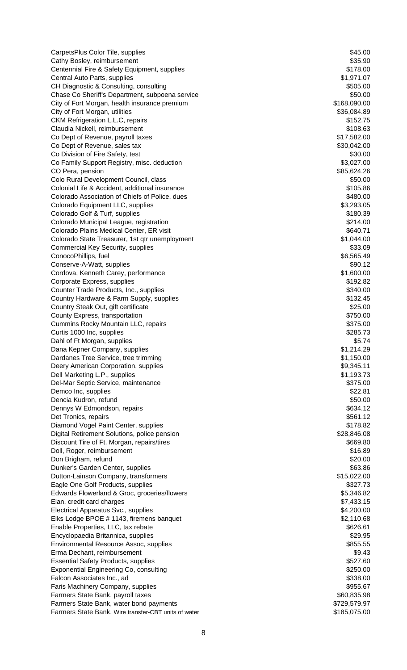CarpetsPlus Color Tile, supplies  $$45.00$ Cathy Bosley, reimbursement \$35.90 Centennial Fire & Safety Equipment, supplies \$178.00 Central Auto Parts, supplies  $$1,971.07$ CH Diagnostic & Consulting, consulting  $$505.00$ Chase Co Sheriff's Department, subpoena service  $$50.00$ City of Fort Morgan, health insurance premium \$168,090.00 City of Fort Morgan, utilities \$36,084.89 CKM Refrigeration L.L.C, repairs  $$152.75$ Claudia Nickell, reimbursement \$108.63 Co Dept of Revenue, payroll taxes  $$17,582.00$ Co Dept of Revenue, sales tax  $$30,042.00$ Co Division of Fire Safety, test  $$30.00$ Co Family Support Registry, misc. deduction  $$3,027.00$ CO Pera, pension  $$85,624.26$ Colo Rural Development Council, class  $$50.00$ Colonial Life & Accident, additional insurance \$105.86 Colorado Association of Chiefs of Police, dues  $$480.00$ Colorado Equipment LLC, supplies  $$3,293.05$ Colorado Golf & Turf, supplies \$180.39 Colorado Municipal League, registration \$214.00 Colorado Plains Medical Center, ER visit  $\sim$  8640.71 Colorado State Treasurer, 1st qtr unemployment  $$1,044.00$ Commercial Key Security, supplies  $$33.09$ ConocoPhillips, fuel \$6,565.49 Conserve-A-Watt, supplies  $$90.12$ Cordova, Kenneth Carey, performance \$1,600.00 Corporate Express, supplies  $$192.82$ Counter Trade Products, Inc., supplies  $$340.00$ Country Hardware & Farm Supply, supplies  $$132.45$ Country Steak Out, gift certificate  $$25.00$ County Express, transportation  $$750.00$ Cummins Rocky Mountain LLC, repairs  $$375.00$ Curtis 1000 Inc, supplies  $$285.73$ Dahl of Ft Morgan, supplies \$5.74 Dana Kepner Company, supplies  $$1,214.29$ Dardanes Tree Service, tree trimming  $$1,150.00$ Deery American Corporation, supplies  $$9,345.11$ Dell Marketing L.P., supplies  $$1,193.73$ Del-Mar Septic Service, maintenance \$375.00 Demco Inc. supplies  $$22.81$ Dencia Kudron, refund \$50.00 Dennys W Edmondson, repairs  $$634.12$ Det Tronics, repairs  $$561.12$ Diamond Vogel Paint Center, supplies **\$178.82** Digital Retirement Solutions, police pension \$28,846.08 Discount Tire of Ft. Morgan, repairs/tires  $$669.80$ Doll, Roger, reimbursement \$16.89 Don Brigham, refund \$20.00 Dunker's Garden Center, supplies  $$63.86$ Dutton-Lainson Company, transformers **\$15,022.00** Eagle One Golf Products, supplies  $$327.73$ Edwards Flowerland & Groc, groceries/flowers  $$5,346.82$ Elan, credit card charges  $$7,433.15$ Electrical Apparatus Svc., supplies  $$4,200.00$ Elks Lodge BPOE # 1143, firemens banquet \$2,110.68 Enable Properties, LLC, tax rebate  $$626.61$ Encyclopaedia Britannica, supplies \$29.95 Environmental Resource Assoc, supplies  $$855.55$ Erma Dechant, reimbursement \$9.43 Essential Safety Products, supplies  $$527.60$ Exponential Engineering Co, consulting  $\frac{250.00}{250.00}$ Falcon Associates Inc., ad **\$338.00 Falcon Associates Inc., ad** Faris Machinery Company, supplies  $$955.67$ Farmers State Bank, payroll taxes  $$60,835.98$ Farmers State Bank, water bond payments **\$729,579.97** Farmers State Bank, Wire transfer-CBT units of water  $$185,075.00$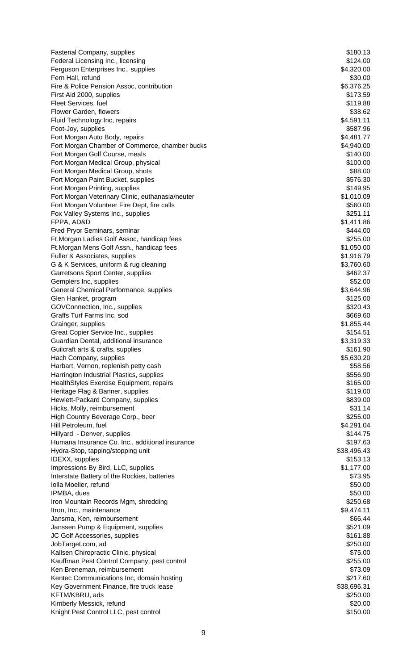| <b>Fastenal Company, supplies</b>                                       | \$180.13                 |
|-------------------------------------------------------------------------|--------------------------|
| Federal Licensing Inc., licensing                                       | \$124.00                 |
| Ferguson Enterprises Inc., supplies                                     | \$4,320.00               |
| Fern Hall, refund                                                       | \$30.00                  |
| Fire & Police Pension Assoc, contribution                               | \$6,376.25               |
| First Aid 2000, supplies                                                | \$173.59                 |
| Fleet Services, fuel                                                    | \$119.88                 |
| Flower Garden, flowers<br>Fluid Technology Inc, repairs                 | \$38.62<br>\$4,591.11    |
| Foot-Joy, supplies                                                      | \$587.96                 |
| Fort Morgan Auto Body, repairs                                          | \$4,481.77               |
| Fort Morgan Chamber of Commerce, chamber bucks                          | \$4,940.00               |
| Fort Morgan Golf Course, meals                                          | \$140.00                 |
| Fort Morgan Medical Group, physical                                     | \$100.00                 |
| Fort Morgan Medical Group, shots                                        | \$88.00                  |
| Fort Morgan Paint Bucket, supplies                                      | \$576.30                 |
| Fort Morgan Printing, supplies                                          | \$149.95                 |
| Fort Morgan Veterinary Clinic, euthanasia/neuter                        | \$1,010.09               |
| Fort Morgan Volunteer Fire Dept, fire calls                             | \$560.00                 |
| Fox Valley Systems Inc., supplies                                       | \$251.11                 |
| FPPA, AD&D                                                              | \$1,411.86               |
| Fred Pryor Seminars, seminar                                            | \$444.00                 |
| Ft. Morgan Ladies Golf Assoc, handicap fees                             | \$255.00                 |
| Ft.Morgan Mens Golf Assn., handicap fees                                | \$1,050.00               |
| Fuller & Associates, supplies<br>G & K Services, uniform & rug cleaning | \$1,916.79<br>\$3,760.60 |
| Garretsons Sport Center, supplies                                       | \$462.37                 |
| Gemplers Inc, supplies                                                  | \$52.00                  |
| General Chemical Performance, supplies                                  | \$3,644.96               |
| Glen Hanket, program                                                    | \$125.00                 |
| GOVConnection, Inc., supplies                                           | \$320.43                 |
| Graffs Turf Farms Inc, sod                                              | \$669.60                 |
| Grainger, supplies                                                      | \$1,855.44               |
| Great Copier Service Inc., supplies                                     | \$154.51                 |
| Guardian Dental, additional insurance                                   | \$3,319.33               |
| Guilcraft arts & crafts, supplies                                       | \$161.90                 |
| Hach Company, supplies                                                  | \$5,630.20               |
| Harbart, Vernon, replenish petty cash                                   | \$58.56                  |
| Harrington Industrial Plastics, supplies                                | \$556.90                 |
| HealthStyles Exercise Equipment, repairs                                | \$165.00                 |
| Heritage Flag & Banner, supplies                                        | \$119.00                 |
| Hewlett-Packard Company, supplies                                       | \$839.00                 |
| Hicks, Molly, reimbursement                                             | \$31.14                  |
| High Country Beverage Corp., beer                                       | \$255.00                 |
| Hill Petroleum, fuel<br>Hillyard - Denver, supplies                     | \$4,291.04<br>\$144.75   |
| Humana Insurance Co. Inc., additional insurance                         | \$197.63                 |
| Hydra-Stop, tapping/stopping unit                                       | \$38,496.43              |
| IDEXX, supplies                                                         | \$153.13                 |
| Impressions By Bird, LLC, supplies                                      | \$1,177.00               |
| Interstate Battery of the Rockies, batteries                            | \$73.95                  |
| Iolla Moeller, refund                                                   | \$50.00                  |
| IPMBA, dues                                                             | \$50.00                  |
| Iron Mountain Records Mgm, shredding                                    | \$250.68                 |
| Itron, Inc., maintenance                                                | \$9,474.11               |
| Jansma, Ken, reimbursement                                              | \$66.44                  |
| Janssen Pump & Equipment, supplies                                      | \$521.09                 |
| JC Golf Accessories, supplies                                           | \$161.88                 |
| JobTarget.com, ad                                                       | \$250.00                 |
| Kallsen Chiropractic Clinic, physical                                   | \$75.00                  |
| Kauffman Pest Control Company, pest control                             | \$255.00                 |
| Ken Breneman, reimbursement                                             | \$73.09                  |
| Kentec Communications Inc, domain hosting                               | \$217.60                 |
| Key Government Finance, fire truck lease                                | \$38,696.31              |
| KFTM/KBRU, ads                                                          | \$250.00                 |
| Kimberly Messick, refund                                                | \$20.00                  |
| Knight Pest Control LLC, pest control                                   | \$150.00                 |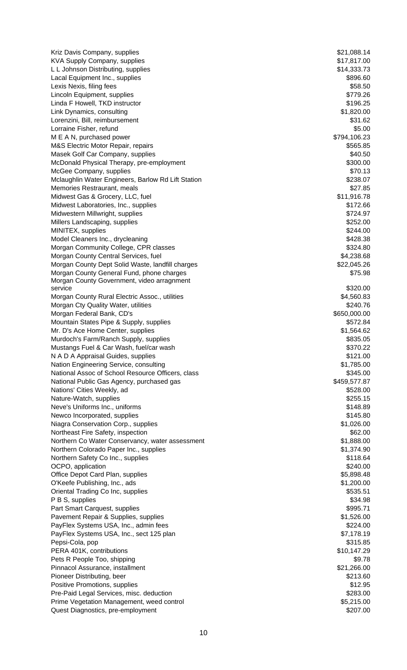Kriz Davis Company, supplies  $$21,088.14$ KVA Supply Company, supplies  $$17,817.00$ L L Johnson Distributing, supplies  $$14,333.73$ Lacal Equipment Inc., supplies  $$896.60$ Lexis Nexis, filing fees \$58.50 Lincoln Equipment, supplies  $$779.26$ Linda F Howell, TKD instructor  $$196.25$ Link Dynamics, consulting  $$1,820.00$ Lorenzini, Bill, reimbursement  $$31.62$ Lorraine Fisher, refund \$5.00 M E A N, purchased power \$794,106.23 M&S Electric Motor Repair, repairs \$565.85 Masek Golf Car Company, supplies  $$40.50$ McDonald Physical Therapy, pre-employment  $$300.00$ McGee Company, supplies  $$70.13$ Mclaughlin Water Engineers, Barlow Rd Lift Station **\$238.07** \$238.07 Memories Restraurant, meals **\$27.85** and the set of the set of the set of the set of the set of the set of the set of the set of the set of the set of the set of the set of the set of the set of the set of the set of the s Midwest Gas & Grocery, LLC, fuel \$11,916.78 Midwest Laboratories, Inc., supplies  $$172.66$ Midwestern Millwright, supplies \$724.97 Millers Landscaping, supplies  $$252.00$ MINITEX, supplies \$244.00 Model Cleaners Inc., drycleaning  $$428.38$ Morgan Community College, CPR classes  $$324.80$ Morgan County Central Services, fuel \$4,238.68 Morgan County Dept Solid Waste, landfill charges  $$22,045.26$ Morgan County General Fund, phone charges  $$75.98$ Morgan County Government, video arragnment service \$320.00 \$320.00 \$320.00 \$320.00 \$320.00 \$320.00 \$320.00 \$320.00 \$320.00 \$320.00 \$ Morgan County Rural Electric Assoc., utilities **\$4,560.83** \$4,560.83 Morgan Cty Quality Water, utilities \$240.76<br>Morgan Federal Bank, CD's \$250,000.00 Morgan Federal Bank, CD's Mountain States Pipe & Supply, supplies  $$572.84$ Mr. D's Ace Home Center, supplies  $$1,564.62$ Murdoch's Farm/Ranch Supply, supplies  $$835.05$ Mustangs Fuel & Car Wash, fuel/car wash \$370.22 N A D A Appraisal Guides, supplies  $$121.00$ Nation Engineering Service, consulting  $$1,785.00$ National Assoc of School Resource Officers, class  $$345.00$ National Public Gas Agency, purchased gas  $$459,577.87$ Nations' Cities Weekly, ad **\$528.00 Nations' Cities Weekly, ad** Nature-Watch, supplies \$255.15 Neve's Uniforms Inc., uniforms  $\sim$  \$148.89 Newco Incorporated, supplies  $$145.80$ Niagra Conservation Corp., supplies  $$1,026.00$ Northeast Fire Safety, inspection  $$62.00$ Northern Co Water Conservancy, water assessment \$1,888.00 Northern Colorado Paper Inc., supplies  $$1,374.90$ Northern Safety Co Inc., supplies \$118.64 OCPO, application  $$240.00$ Office Depot Card Plan, supplies **65,898.48** S5,898.48 O'Keefe Publishing, Inc., ads \$1,200.00 Oriental Trading Co Inc, supplies  $$535.51$ P B S, supplies \$34.98 Part Smart Carquest, supplies  $$995.71$ Pavement Repair & Supplies, supplies  $$1,526.00$ PayFlex Systems USA, Inc., admin fees  $$224.00$ PayFlex Systems USA, Inc., sect 125 plan \$7,178.19 and \$7,178.19 Pepsi-Cola, pop \$315.85 PERA 401K, contributions  $$10,147.29$ Pets R People Too, shipping  $$9.78$ Pinnacol Assurance, installment  $$21,266.00$ Pioneer Distributing, beer \$213.60 Positive Promotions, supplies  $$12.95$ Pre-Paid Legal Services, misc. deduction **\$283.00 \$283.00** Prime Vegetation Management, weed control **Example 2018** 35,215.00 Quest Diagnostics, pre-employment  $$207.00$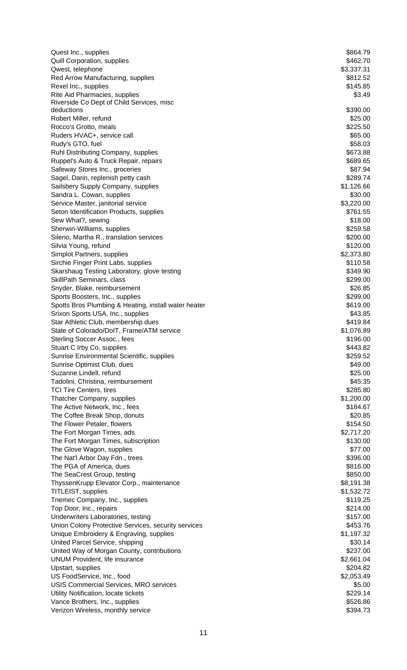| Quest Inc., supplies                                            | \$864.79             |
|-----------------------------------------------------------------|----------------------|
| <b>Quill Corporation, supplies</b>                              | \$462.70             |
| Qwest, telephone                                                | \$3,337.31           |
| Red Arrow Manufacturing, supplies                               | \$812.52             |
| Rexel Inc., supplies                                            | \$145.85             |
| Rite Aid Pharmacies, supplies                                   | \$3.49               |
| Riverside Co Dept of Child Services, misc<br>deductions         | \$390.00             |
| Robert Miller, refund                                           | \$25.00              |
| Rocco's Grotto, meals                                           | \$225.50             |
| Ruders HVAC+, service call                                      | \$65.00              |
| Rudy's GTO, fuel                                                | \$58.03              |
| Ruhl Distributing Company, supplies                             | \$673.88             |
| Ruppel's Auto & Truck Repair, repairs                           | \$689.65             |
| Safeway Stores Inc., groceries                                  | \$87.94              |
| Sagel, Darin, replenish petty cash                              | \$289.74             |
| Sailsbery Supply Company, supplies                              | \$1,126.66           |
| Sandra L. Cowan, supplies                                       | \$30.00              |
| Service Master, janitorial service                              | \$3,220.00           |
| Seton Identification Products, supplies                         | \$761.55             |
| Sew What?, sewing                                               | \$18.00              |
| Sherwin-Williams, supplies                                      | \$259.58             |
| Silerio, Martha R., translation services                        | \$200.00             |
| Silvia Young, refund                                            | \$120.00             |
| Simplot Partners, supplies                                      | \$2,373.80           |
| Sirchie Finger Print Labs, supplies                             | \$110.58             |
| Skarshaug Testing Laboratory, glove testing                     | \$349.90             |
| SkillPath Seminars, class                                       | \$299.00<br>\$26.85  |
| Snyder, Blake, reimbursement<br>Sports Boosters, Inc., supplies | \$299.00             |
| Spotts Bros Plumbing & Heating, install water heater            | \$619.00             |
| Srixon Sports USA, Inc., supplies                               | \$43.85              |
| Star Athletic Club, membership dues                             | \$419.84             |
| State of Colorado/DoIT, Frame/ATM service                       | \$1,076.89           |
| Sterling Soccer Assoc., fees                                    | \$196.00             |
| Stuart C Irby Co, supplies                                      | \$443.82             |
| Sunrise Environmental Scientific, supplies                      | \$259.52             |
| Sunrise Optimist Club, dues                                     | \$49.00              |
| Suzanne Lindell, refund                                         | \$25.00              |
| Tadolini, Christina, reimbursement                              | \$45.35              |
| <b>TCI Tire Centers, tires</b>                                  | \$285.80             |
| Thatcher Company, supplies                                      | \$1,200.00           |
| The Active Network, Inc., fees                                  | \$184.67             |
| The Coffee Break Shop, donuts                                   | \$20.85              |
| The Flower Petaler, flowers                                     | \$154.50             |
| The Fort Morgan Times, ads                                      | \$2,717.20           |
| The Fort Morgan Times, subscription                             | \$130.00             |
| The Glove Wagon, supplies                                       | \$77.00              |
| The Nat'l Arbor Day Fdn., trees                                 | \$396.00             |
| The PGA of America, dues<br>The SeaCrest Group, testing         | \$816.00<br>\$850.00 |
| ThyssenKrupp Elevator Corp., maintenance                        | \$8,191.38           |
| TITLEIST, supplies                                              | \$1,532.72           |
| Tnemec Company, Inc., supplies                                  | \$119.25             |
| Top Door, Inc., repairs                                         | \$214.00             |
| Underwriters Laboratories, testing                              | \$157.00             |
| Union Colony Protective Services, security services             | \$453.76             |
| Unique Embroidery & Engraving, supplies                         | \$1,197.32           |
| United Parcel Service, shipping                                 | \$30.14              |
| United Way of Morgan County, contributions                      | \$237.00             |
| UNUM Provident, life insurance                                  | \$2,661.04           |
| Upstart, supplies                                               | \$204.82             |
| US FoodService, Inc., food                                      | \$2,053.49           |
| <b>USIS Commercial Services, MRO services</b>                   | \$5.00               |
| Utility Notification, locate tickets                            | \$229.14             |
| Vance Brothers, Inc., supplies                                  | \$526.86             |
| Verizon Wireless, monthly service                               | \$394.73             |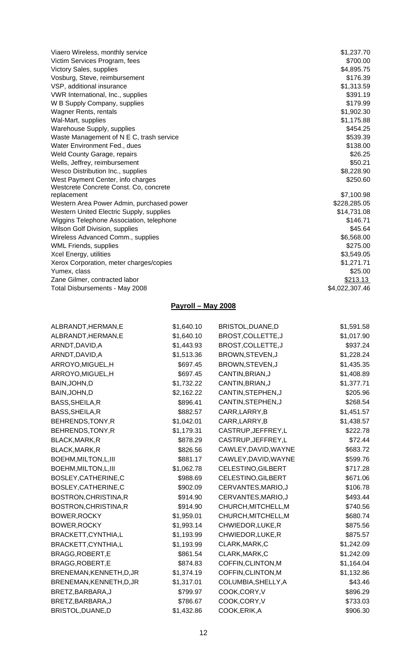| Viaero Wireless, monthly service          | \$1,237.70     |
|-------------------------------------------|----------------|
| Victim Services Program, fees             | \$700.00       |
| Victory Sales, supplies                   | \$4,895.75     |
| Vosburg, Steve, reimbursement             | \$176.39       |
| VSP, additional insurance                 | \$1,313.59     |
| VWR International, Inc., supplies         | \$391.19       |
| W B Supply Company, supplies              | \$179.99       |
|                                           | \$1,902.30     |
| Wagner Rents, rentals                     |                |
| Wal-Mart, supplies                        | \$1,175.88     |
| Warehouse Supply, supplies                | \$454.25       |
| Waste Management of N E C, trash service  | \$539.39       |
| Water Environment Fed., dues              | \$138.00       |
| Weld County Garage, repairs               | \$26.25        |
| Wells, Jeffrey, reimbursement             | \$50.21        |
| Wesco Distribution Inc., supplies         | \$8,228.90     |
| West Payment Center, info charges         | \$250.60       |
| Westcrete Concrete Const. Co, concrete    |                |
| replacement                               | \$7,100.98     |
| Western Area Power Admin, purchased power | \$228,285.05   |
| Western United Electric Supply, supplies  | \$14,731.08    |
| Wiggins Telephone Association, telephone  | \$146.71       |
| Wilson Golf Division, supplies            | \$45.64        |
| Wireless Advanced Comm., supplies         | \$6,568.00     |
| <b>WML Friends, supplies</b>              | \$275.00       |
| Xcel Energy, utilities                    | \$3,549.05     |
| Xerox Corporation, meter charges/copies   | \$1,271.71     |
| Yumex, class                              | \$25.00        |
| Zane Gilmer, contracted labor             | \$213.13       |
| Total Disbursements - May 2008            | \$4,022,307.46 |

# **Payroll – May 2008**

| ALBRANDT, HERMAN, E      | \$1,640.10 | BRISTOL, DUANE, D    | \$1,591.58 |
|--------------------------|------------|----------------------|------------|
| ALBRANDT, HERMAN, E      | \$1,640.10 | BROST, COLLETTE, J   | \$1,017.90 |
| ARNDT, DAVID, A          | \$1,443.93 | BROST, COLLETTE, J   | \$937.24   |
| ARNDT, DAVID, A          | \$1,513.36 | BROWN, STEVEN, J     | \$1,228.24 |
| ARROYO, MIGUEL, H        | \$697.45   | BROWN, STEVEN, J     | \$1,435.35 |
| ARROYO, MIGUEL, H        | \$697.45   | CANTIN, BRIAN, J     | \$1,408.89 |
| BAIN, JOHN, D            | \$1,732.22 | CANTIN, BRIAN, J     | \$1,377.71 |
| BAIN, JOHN, D            | \$2,162.22 | CANTIN, STEPHEN, J   | \$205.96   |
| BASS, SHEILA, R          | \$896.41   | CANTIN, STEPHEN, J   | \$268.54   |
| BASS, SHEILA, R          | \$882.57   | CARR, LARRY, B       | \$1,451.57 |
| BEHRENDS, TONY, R        | \$1,042.01 | CARR, LARRY, B       | \$1,438.57 |
| BEHRENDS, TONY, R        | \$1,179.31 | CASTRUP, JEFFREY, L  | \$222.78   |
| BLACK, MARK, R           | \$878.29   | CASTRUP, JEFFREY, L  | \$72.44    |
| BLACK, MARK, R           | \$826.56   | CAWLEY, DAVID, WAYNE | \$683.72   |
| BOEHM, MILTON, L, III    | \$881.17   | CAWLEY, DAVID, WAYNE | \$599.76   |
| BOEHM, MILTON, L, III    | \$1,062.78 | CELESTINO, GILBERT   | \$717.28   |
| BOSLEY, CATHERINE, C     | \$988.69   | CELESTINO, GILBERT   | \$671.06   |
| BOSLEY, CATHERINE, C     | \$902.09   | CERVANTES, MARIO, J  | \$106.78   |
| BOSTRON, CHRISTINA, R    | \$914.90   | CERVANTES, MARIO, J  | \$493.44   |
| BOSTRON, CHRISTINA, R    | \$914.90   | CHURCH, MITCHELL, M  | \$740.56   |
| BOWER, ROCKY             | \$1,959.01 | CHURCH, MITCHELL, M  | \$680.74   |
| BOWER, ROCKY             | \$1,993.14 | CHWIEDOR, LUKE, R    | \$875.56   |
| BRACKETT, CYNTHIA, L     | \$1,193.99 | CHWIEDOR, LUKE, R    | \$875.57   |
| BRACKETT, CYNTHIA, L     | \$1,193.99 | CLARK, MARK, C       | \$1,242.09 |
| BRAGG, ROBERT, E         | \$861.54   | CLARK, MARK, C       | \$1,242.09 |
| BRAGG, ROBERT, E         | \$874.83   | COFFIN, CLINTON, M   | \$1,164.04 |
| BRENEMAN, KENNETH, D, JR | \$1,374.19 | COFFIN, CLINTON, M   | \$1,132.86 |
| BRENEMAN, KENNETH, D, JR | \$1,317.01 | COLUMBIA, SHELLY, A  | \$43.46    |
| BRETZ, BARBARA, J        | \$799.97   | COOK,CORY,V          | \$896.29   |
| BRETZ, BARBARA, J        | \$786.67   | COOK,CORY,V          | \$733.03   |
| BRISTOL, DUANE, D        | \$1,432.86 | COOK, ERIK, A        | \$906.30   |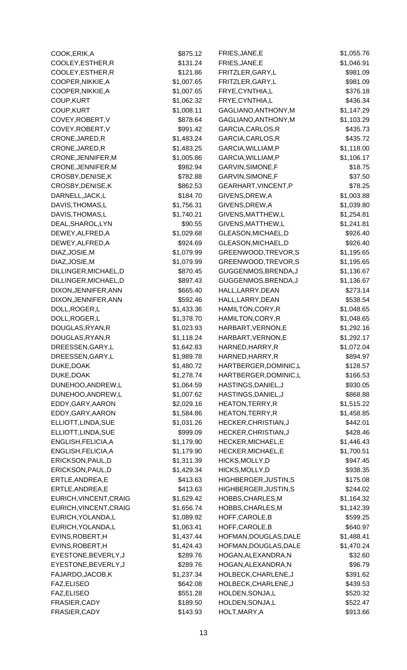| COOK, ERIK, A          | \$875.12   | FRIES, JANE, E         | \$1,055.76 |
|------------------------|------------|------------------------|------------|
| COOLEY, ESTHER, R      | \$131.24   | FRIES, JANE, E         | \$1,046.91 |
| COOLEY, ESTHER, R      | \$121.86   | FRITZLER, GARY, L      | \$981.09   |
| COOPER, NIKKIE, A      | \$1,007.65 | FRITZLER, GARY, L      | \$981.09   |
| COOPER, NIKKIE, A      | \$1,007.65 | FRYE, CYNTHIA, L       | \$376.18   |
| COUP, KURT             | \$1,062.32 | FRYE, CYNTHIA, L       | \$436.34   |
| COUP, KURT             | \$1,008.11 | GAGLIANO, ANTHONY, M   | \$1,147.29 |
| COVEY, ROBERT, V       | \$878.64   | GAGLIANO, ANTHONY, M   | \$1,103.29 |
| COVEY, ROBERT, V       | \$991.42   | GARCIA, CARLOS, R      | \$435.73   |
| CRONE, JARED, R        | \$1,483.24 | GARCIA, CARLOS, R      | \$435.72   |
| CRONE, JARED, R        | \$1,483.25 | GARCIA, WILLIAM, P     | \$1,118.00 |
| CRONE, JENNIFER, M     | \$1,005.86 | GARCIA, WILLIAM, P     | \$1,106.17 |
| CRONE, JENNIFER, M     | \$982.94   | GARVIN, SIMONE, F      | \$18.75    |
| CROSBY, DENISE, K      | \$782.88   | GARVIN, SIMONE, F      | \$37.50    |
| CROSBY, DENISE, K      | \$862.53   | GEARHART, VINCENT, P   | \$78.25    |
| DARNELL, JACK, L       | \$184.70   | GIVENS, DREW, A        | \$1,003.88 |
| DAVIS, THOMAS, L       | \$1,756.31 | GIVENS, DREW, A        | \$1,039.80 |
| DAVIS, THOMAS, L       | \$1,740.21 | GIVENS, MATTHEW, L     | \$1,254.81 |
| DEAL, SHAROL, LYN      | \$90.55    | GIVENS, MATTHEW, L     | \$1,241.81 |
| DEWEY, ALFRED, A       | \$1,029.68 | GLEASON, MICHAEL, D    | \$926.40   |
| DEWEY, ALFRED, A       | \$924.69   | GLEASON, MICHAEL, D    | \$926.40   |
| DIAZ, JOSIE, M         | \$1,079.99 | GREENWOOD, TREVOR, S   | \$1,195.65 |
| DIAZ, JOSIE, M         | \$1,079.99 | GREENWOOD, TREVOR, S   | \$1,195.65 |
| DILLINGER, MICHAEL, D  | \$870.45   | GUGGENMOS, BRENDA, J   | \$1,136.67 |
| DILLINGER, MICHAEL, D  | \$897.43   | GUGGENMOS, BRENDA, J   | \$1,136.67 |
| DIXON, JENNIFER, ANN   | \$665.40   | HALL, LARRY, DEAN      | \$273.14   |
| DIXON, JENNIFER, ANN   | \$592.46   | HALL, LARRY, DEAN      | \$538.54   |
| DOLL, ROGER, L         | \$1,433.36 | HAMILTON, CORY, R      | \$1,048.65 |
| DOLL, ROGER, L         | \$1,378.70 | HAMILTON, CORY, R      | \$1,048.65 |
| DOUGLAS, RYAN, R       | \$1,023.93 | HARBART, VERNON, E     | \$1,292.16 |
| DOUGLAS, RYAN, R       | \$1,118.24 | HARBART, VERNON, E     | \$1,292.17 |
| DREESSEN, GARY, L      | \$1,642.83 | HARNED, HARRY, R       | \$1,072.04 |
| DREESSEN, GARY, L      | \$1,989.78 | HARNED, HARRY, R       | \$894.97   |
| DUKE, DOAK             | \$1,480.72 | HARTBERGER, DOMINIC, L | \$128.57   |
| DUKE, DOAK             | \$1,278.74 | HARTBERGER, DOMINIC, L | \$166.53   |
| DUNEHOO, ANDREW, L     | \$1,064.59 | HASTINGS, DANIEL, J    | \$930.05   |
| DUNEHOO, ANDREW, L     | \$1,007.62 | HASTINGS, DANIEL, J    | \$868.88   |
| EDDY, GARY, AARON      | \$2,029.16 | HEATON, TERRY, R       | \$1,515.22 |
| EDDY, GARY, AARON      | \$1,584.86 | HEATON, TERRY, R       | \$1,458.85 |
| ELLIOTT, LINDA, SUE    | \$1,031.26 | HECKER, CHRISTIAN, J   | \$442.01   |
| ELLIOTT, LINDA, SUE    | \$999.09   | HECKER, CHRISTIAN, J   | \$428.46   |
| ENGLISH, FELICIA, A    | \$1,179.90 | HECKER, MICHAEL, E     | \$1,446.43 |
| ENGLISH, FELICIA, A    | \$1,179.90 | HECKER, MICHAEL, E     | \$1,700.51 |
| ERICKSON, PAUL, D      | \$1,311.39 | HICKS, MOLLY, D        | \$947.45   |
| ERICKSON, PAUL, D      | \$1,429.34 | HICKS, MOLLY, D        | \$938.35   |
| ERTLE, ANDREA, E       | \$413.63   | HIGHBERGER, JUSTIN, S  | \$175.08   |
| ERTLE, ANDREA, E       | \$413.63   | HIGHBERGER, JUSTIN, S  | \$244.02   |
| EURICH, VINCENT, CRAIG | \$1,629.42 | HOBBS, CHARLES, M      | \$1,164.32 |
| EURICH, VINCENT, CRAIG | \$1,656.74 | HOBBS, CHARLES, M      | \$1,142.39 |
| EURICH, YOLANDA, L     | \$1,089.92 | HOFF, CAROLE, B        | \$599.25   |
| EURICH, YOLANDA, L     | \$1,063.41 | HOFF, CAROLE, B        | \$640.97   |
| EVINS, ROBERT, H       | \$1,437.44 | HOFMAN, DOUGLAS, DALE  | \$1,488.41 |
| EVINS, ROBERT, H       | \$1,424.43 | HOFMAN, DOUGLAS, DALE  | \$1,470.24 |
| EYESTONE, BEVERLY, J   | \$289.76   | HOGAN, ALEXANDRA, N    | \$32.60    |
| EYESTONE, BEVERLY, J   | \$289.76   | HOGAN, ALEXANDRA, N    | \$96.79    |
| FAJARDO, JACOB, K      | \$1,237.34 | HOLBECK, CHARLENE, J   | \$391.62   |
| FAZ, ELISEO            | \$642.08   | HOLBECK, CHARLENE, J   | \$439.53   |
| FAZ, ELISEO            | \$551.28   | HOLDEN, SONJA, L       | \$520.32   |
| FRASIER, CADY          | \$189.50   | HOLDEN, SONJA, L       | \$522.47   |
| FRASIER, CADY          | \$143.93   | HOLT, MARY, A          | \$913.66   |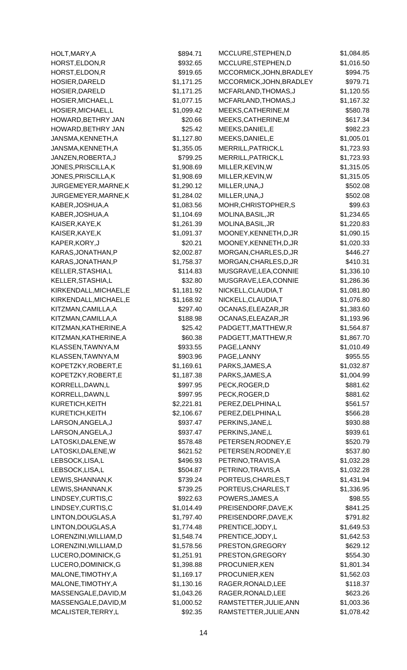| HOLT, MARY, A                        | \$894.71   | MCCLURE, STEPHEN, D                    | \$1,084.85 |
|--------------------------------------|------------|----------------------------------------|------------|
| HORST, ELDON, R                      | \$932.65   | MCCLURE, STEPHEN, D                    | \$1,016.50 |
| HORST, ELDON, R                      | \$919.65   | MCCORMICK, JOHN, BRADLEY               | \$994.75   |
| HOSIER, DARELD                       | \$1,171.25 | MCCORMICK, JOHN, BRADLEY               | \$979.71   |
| HOSIER, DARELD                       | \$1,171.25 | MCFARLAND, THOMAS, J                   | \$1,120.55 |
| HOSIER, MICHAEL, L                   | \$1,077.15 | MCFARLAND, THOMAS, J                   | \$1,167.32 |
| HOSIER, MICHAEL, L                   | \$1,099.42 | MEEKS, CATHERINE, M                    | \$580.78   |
| HOWARD, BETHRY JAN                   | \$20.66    | MEEKS, CATHERINE, M                    | \$617.34   |
| HOWARD, BETHRY JAN                   | \$25.42    | MEEKS, DANIEL, E                       | \$982.23   |
| JANSMA, KENNETH, A                   | \$1,127.80 | MEEKS, DANIEL, E                       | \$1,005.01 |
| JANSMA, KENNETH, A                   | \$1,355.05 | MERRILL, PATRICK, L                    | \$1,723.93 |
| JANZEN, ROBERTA, J                   | \$799.25   | MERRILL, PATRICK, L                    | \$1,723.93 |
| JONES, PRISCILLA, K                  | \$1,908.69 | MILLER, KEVIN, W                       | \$1,315.05 |
| JONES, PRISCILLA, K                  | \$1,908.69 | MILLER, KEVIN, W                       | \$1,315.05 |
| JURGEMEYER, MARNE, K                 | \$1,290.12 | MILLER, UNA, J                         | \$502.08   |
| JURGEMEYER, MARNE, K                 | \$1,284.02 | MILLER, UNA, J                         | \$502.08   |
| KABER, JOSHUA, A                     | \$1,083.56 | MOHR, CHRISTOPHER, S                   | \$99.63    |
| KABER, JOSHUA, A                     | \$1,104.69 | MOLINA, BASIL, JR                      | \$1,234.65 |
| KAISER, KAYE, K                      | \$1,261.39 | MOLINA, BASIL, JR                      | \$1,220.83 |
| KAISER, KAYE, K                      | \$1,091.37 | MOONEY, KENNETH, D, JR                 | \$1,090.15 |
| KAPER, KORY, J                       | \$20.21    | MOONEY, KENNETH, D, JR                 | \$1,020.33 |
| KARAS, JONATHAN, P                   | \$2,002.87 | MORGAN, CHARLES, D, JR                 | \$446.27   |
| KARAS, JONATHAN, P                   | \$1,758.37 | MORGAN, CHARLES, D, JR                 | \$410.31   |
| KELLER, STASHIA, L                   | \$114.83   | MUSGRAVE, LEA, CONNIE                  | \$1,336.10 |
| KELLER, STASHIA, L                   | \$32.80    | MUSGRAVE, LEA, CONNIE                  | \$1,286.36 |
| KIRKENDALL, MICHAEL, E               | \$1,181.92 | NICKELL, CLAUDIA, T                    | \$1,081.80 |
| KIRKENDALL, MICHAEL, E               | \$1,168.92 | NICKELL, CLAUDIA, T                    | \$1,076.80 |
| KITZMAN, CAMILLA, A                  | \$297.40   | OCANAS, ELEAZAR, JR                    | \$1,383.60 |
| KITZMAN, CAMILLA, A                  | \$188.98   | OCANAS, ELEAZAR, JR                    | \$1,193.96 |
| KITZMAN, KATHERINE, A                | \$25.42    | PADGETT, MATTHEW, R                    | \$1,564.87 |
| KITZMAN, KATHERINE, A                | \$60.38    | PADGETT, MATTHEW, R                    | \$1,867.70 |
| KLASSEN, TAWNYA, M                   | \$933.55   | PAGE, LANNY                            | \$1,010.49 |
| KLASSEN, TAWNYA, M                   | \$903.96   | PAGE, LANNY                            | \$955.55   |
| KOPETZKY, ROBERT, E                  | \$1,169.61 | PARKS, JAMES, A                        | \$1,032.87 |
| KOPETZKY, ROBERT, E                  | \$1,187.38 | PARKS, JAMES, A                        | \$1,004.99 |
| KORRELL, DAWN, L                     |            | PECK, ROGER, D                         | \$881.62   |
| KORRELL, DAWN, L                     | \$997.95   | PECK, ROGER, D                         |            |
|                                      | \$997.95   | PEREZ, DELPHINA, L                     | \$881.62   |
| KURETICH, KEITH                      | \$2,221.81 |                                        | \$561.57   |
| KURETICH, KEITH<br>LARSON, ANGELA, J | \$2,106.67 | PEREZ, DELPHINA, L<br>PERKINS, JANE, L | \$566.28   |
|                                      | \$937.47   |                                        | \$930.88   |
| LARSON, ANGELA, J                    | \$937.47   | PERKINS, JANE, L                       | \$939.61   |
| LATOSKI, DALENE, W                   | \$578.48   | PETERSEN, RODNEY, E                    | \$520.79   |
| LATOSKI, DALENE, W                   | \$621.52   | PETERSEN, RODNEY, E                    | \$537.80   |
| LEBSOCK,LISA,L                       | \$496.93   | PETRINO, TRAVIS, A                     | \$1,032.28 |
| LEBSOCK,LISA,L                       | \$504.87   | PETRINO, TRAVIS, A                     | \$1,032.28 |
| LEWIS, SHANNAN, K                    | \$739.24   | PORTEUS, CHARLES, T                    | \$1,431.94 |
| LEWIS, SHANNAN, K                    | \$739.25   | PORTEUS, CHARLES, T                    | \$1,336.95 |
| LINDSEY, CURTIS, C                   | \$922.63   | POWERS, JAMES, A                       | \$98.55    |
| LINDSEY, CURTIS, C                   | \$1,014.49 | PREISENDORF, DAVE, K                   | \$841.25   |
| LINTON, DOUGLAS, A                   | \$1,797.40 | PREISENDORF, DAVE, K                   | \$791.82   |
| LINTON, DOUGLAS, A                   | \$1,774.48 | PRENTICE, JODY, L                      | \$1,649.53 |
| LORENZINI, WILLIAM, D                | \$1,548.74 | PRENTICE, JODY, L                      | \$1,642.53 |
| LORENZINI, WILLIAM, D                | \$1,578.56 | PRESTON, GREGORY                       | \$629.12   |
| LUCERO, DOMINICK, G                  | \$1,251.91 | PRESTON, GREGORY                       | \$554.30   |
| LUCERO, DOMINICK, G                  | \$1,398.88 | PROCUNIER, KEN                         | \$1,801.34 |
| MALONE, TIMOTHY, A                   | \$1,169.17 | PROCUNIER, KEN                         | \$1,562.03 |
| MALONE, TIMOTHY, A                   | \$1,130.16 | RAGER, RONALD, LEE                     | \$118.37   |
| MASSENGALE, DAVID, M                 | \$1,043.26 | RAGER, RONALD, LEE                     | \$623.26   |
| MASSENGALE, DAVID, M                 | \$1,000.52 | RAMSTETTER, JULIE, ANN                 | \$1,003.36 |
| MCALISTER, TERRY, L                  | \$92.35    | RAMSTETTER, JULIE, ANN                 | \$1,078.42 |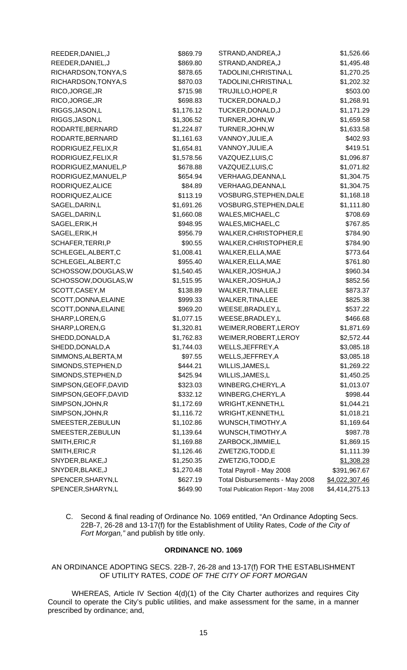| REEDER, DANIEL, J     | \$869.79   | STRAND, ANDREA, J                   | \$1,526.66     |
|-----------------------|------------|-------------------------------------|----------------|
| REEDER, DANIEL, J     | \$869.80   | STRAND, ANDREA, J                   | \$1,495.48     |
| RICHARDSON, TONYA, S  | \$878.65   | TADOLINI, CHRISTINA, L              | \$1,270.25     |
| RICHARDSON, TONYA, S  | \$870.03   | TADOLINI, CHRISTINA, L              | \$1,202.32     |
| RICO, JORGE, JR       | \$715.98   | TRUJILLO, HOPE, R                   | \$503.00       |
| RICO, JORGE, JR       | \$698.83   | TUCKER, DONALD, J                   | \$1,268.91     |
| RIGGS, JASON, L       | \$1,176.12 | TUCKER, DONALD, J                   | \$1,171.29     |
| RIGGS, JASON, L       | \$1,306.52 | TURNER, JOHN, W                     | \$1,659.58     |
| RODARTE, BERNARD      | \$1,224.87 | TURNER, JOHN, W                     | \$1,633.58     |
| RODARTE, BERNARD      | \$1,161.63 | VANNOY, JULIE, A                    | \$402.93       |
| RODRIGUEZ, FELIX, R   | \$1,654.81 | VANNOY, JULIE, A                    | \$419.51       |
| RODRIGUEZ, FELIX, R   | \$1,578.56 | VAZQUEZ,LUIS,C                      | \$1,096.87     |
| RODRIGUEZ, MANUEL, P  | \$678.88   | VAZQUEZ,LUIS,C                      | \$1,071.82     |
| RODRIGUEZ, MANUEL, P  | \$654.94   | VERHAAG, DEANNA, L                  | \$1,304.75     |
| RODRIQUEZ, ALICE      | \$84.89    | VERHAAG, DEANNA, L                  | \$1,304.75     |
| RODRIQUEZ, ALICE      | \$113.19   | VOSBURG, STEPHEN, DALE              | \$1,168.18     |
| SAGEL, DARIN, L       | \$1,691.26 | VOSBURG, STEPHEN, DALE              | \$1,111.80     |
| SAGEL, DARIN, L       | \$1,660.08 | WALES, MICHAEL, C                   | \$708.69       |
| SAGEL, ERIK, H        | \$948.95   | WALES, MICHAEL, C                   | \$767.85       |
| SAGEL, ERIK, H        | \$956.79   | WALKER, CHRISTOPHER, E              | \$784.90       |
| SCHAFER, TERRI, P     | \$90.55    | WALKER, CHRISTOPHER, E              | \$784.90       |
| SCHLEGEL, ALBERT, C   | \$1,008.41 | WALKER, ELLA, MAE                   | \$773.64       |
| SCHLEGEL, ALBERT, C   | \$955.40   | WALKER, ELLA, MAE                   | \$761.80       |
| SCHOSSOW, DOUGLAS, W  | \$1,540.45 | WALKER, JOSHUA, J                   | \$960.34       |
| SCHOSSOW, DOUGLAS, W  | \$1,515.95 | WALKER, JOSHUA, J                   | \$852.56       |
| SCOTT, CASEY, M       | \$138.89   | WALKER, TINA, LEE                   | \$873.37       |
| SCOTT, DONNA, ELAINE  | \$999.33   | WALKER, TINA, LEE                   | \$825.38       |
| SCOTT, DONNA, ELAINE  | \$969.20   | WEESE, BRADLEY, L                   | \$537.22       |
| SHARP, LOREN, G       | \$1,077.15 | WEESE, BRADLEY, L                   | \$466.68       |
| SHARP, LOREN, G       | \$1,320.81 | WEIMER, ROBERT, LEROY               | \$1,871.69     |
| SHEDD, DONALD, A      | \$1,762.83 | WEIMER, ROBERT, LEROY               | \$2,572.44     |
| SHEDD, DONALD, A      | \$1,744.03 | WELLS, JEFFREY, A                   | \$3,085.18     |
| SIMMONS, ALBERTA, M   | \$97.55    | WELLS, JEFFREY, A                   | \$3,085.18     |
| SIMONDS, STEPHEN, D   | \$444.21   | WILLIS, JAMES, L                    | \$1,269.22     |
| SIMONDS, STEPHEN, D   | \$425.94   | WILLIS, JAMES, L                    | \$1,450.25     |
| SIMPSON, GEOFF, DAVID | \$323.03   | WINBERG, CHERYL, A                  | \$1,013.07     |
| SIMPSON, GEOFF, DAVID | \$332.12   | WINBERG, CHERYL, A                  | \$998.44       |
| SIMPSON, JOHN, R      | \$1,172.69 | WRIGHT, KENNETH, L                  | \$1,044.21     |
| SIMPSON, JOHN, R      | \$1,116.72 | WRIGHT, KENNETH, L                  | \$1,018.21     |
| SMEESTER, ZEBULUN     | \$1,102.86 | WUNSCH, TIMOTHY, A                  | \$1,169.64     |
| SMEESTER, ZEBULUN     | \$1,139.64 | WUNSCH, TIMOTHY, A                  | \$987.78       |
| SMITH, ERIC, R        | \$1,169.88 | ZARBOCK, JIMMIE, L                  | \$1,869.15     |
| SMITH, ERIC, R        | \$1,126.46 | ZWETZIG, TODD, E                    | \$1,111.39     |
| SNYDER, BLAKE, J      | \$1,250.35 | ZWETZIG, TODD, E                    | \$1,308.28     |
| SNYDER, BLAKE, J      | \$1,270.48 | Total Payroll - May 2008            | \$391,967.67   |
| SPENCER, SHARYN, L    | \$627.19   | Total Disbursements - May 2008      | \$4,022,307.46 |
| SPENCER, SHARYN, L    | \$649.90   | Total Publication Report - May 2008 | \$4,414,275.13 |

C. Second & final reading of Ordinance No. 1069 entitled, "An Ordinance Adopting Secs. 22B-7, 26-28 and 13-17(f) for the Establishment of Utility Rates, C*ode of the City of Fort Morgan,"* and publish by title only.

# **ORDINANCE NO. 1069**

AN ORDINANCE ADOPTING SECS. 22B-7, 26-28 and 13-17(f) FOR THE ESTABLISHMENT OF UTILITY RATES, *CODE OF THE CITY OF FORT MORGAN*

 WHEREAS, Article IV Section 4(d)(1) of the City Charter authorizes and requires City Council to operate the City's public utilities, and make assessment for the same, in a manner prescribed by ordinance; and,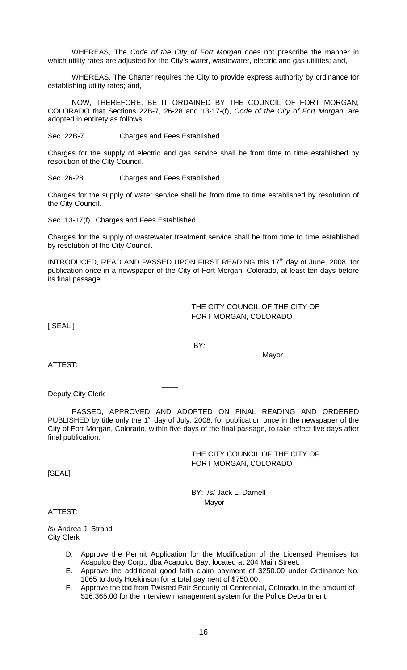WHEREAS, The *Code of the City of Fort Morgan* does not prescribe the manner in which utility rates are adjusted for the City's water, wastewater, electric and gas utilities; and,

WHEREAS, The Charter requires the City to provide express authority by ordinance for establishing utility rates; and,

 NOW, THEREFORE, BE IT ORDAINED BY THE COUNCIL OF FORT MORGAN, COLORADO that Sections 22B-7, 26-28 and 13-17-(f), *Code of the City of Fort Morgan,* are adopted in entirety as follows:

Sec. 22B-7. Charges and Fees Established.

Charges for the supply of electric and gas service shall be from time to time established by resolution of the City Council.

Sec. 26-28. Charges and Fees Established.

Charges for the supply of water service shall be from time to time established by resolution of the City Council.

Sec. 13-17(f). Charges and Fees Established.

Charges for the supply of wastewater treatment service shall be from time to time established by resolution of the City Council.

INTRODUCED, READ AND PASSED UPON FIRST READING this 17<sup>th</sup> day of June, 2008, for publication once in a newspaper of the City of Fort Morgan, Colorado, at least ten days before its final passage.

> THE CITY COUNCIL OF THE CITY OF FORT MORGAN, COLORADO

[ SEAL ]

BY*:* 

Mayor

ATTEST:

Deputy City Clerk

*\_\_\_\_\_\_\_\_\_\_\_\_\_\_\_\_\_\_\_\_\_\_\_\_\_\_\_\_*\_\_\_\_

PASSED, APPROVED AND ADOPTED ON FINAL READING AND ORDERED PUBLISHED by title only the  $1<sup>st</sup>$  day of July, 2008, for publication once in the newspaper of the City of Fort Morgan, Colorado, within five days of the final passage, to take effect five days after final publication.

> THE CITY COUNCIL OF THE CITY OF FORT MORGAN, COLORADO

[SEAL]

 BY: /s/ Jack L. Darnell Mayor

ATTEST:

/s/ Andrea J. Strand City Clerk

- D. Approve the Permit Application for the Modification of the Licensed Premises for Acapulco Bay Corp., dba Acapulco Bay, located at 204 Main Street.
- E. Approve the additional good faith claim payment of \$250.00 under Ordinance No. 1065 to Judy Hoskinson for a total payment of \$750.00.
- F. Approve the bid from Twisted Pair Security of Centennial, Colorado, in the amount of \$16,365.00 for the interview management system for the Police Department.